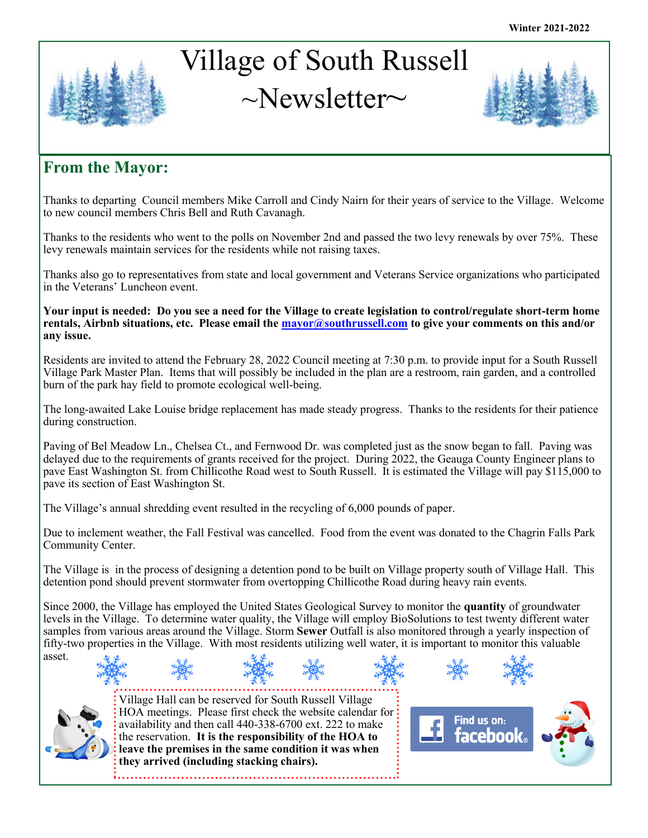# Village of South Russell  $\sim$ Newsletter $\sim$



# **From the Mayor:**

Thanks to departing Council members Mike Carroll and Cindy Nairn for their years of service to the Village. Welcome to new council members Chris Bell and Ruth Cavanagh.

Thanks to the residents who went to the polls on November 2nd and passed the two levy renewals by over 75%. These levy renewals maintain services for the residents while not raising taxes.

Thanks also go to representatives from state and local government and Veterans Service organizations who participated in the Veterans' Luncheon event.

**Your input is needed: Do you see a need for the Village to create legislation to control/regulate short-term home rentals, Airbnb situations, etc. Please email the [mayor@southrussell.com](mailto:mayor@southrussell.com) to give your comments on this and/or any issue.**

Residents are invited to attend the February 28, 2022 Council meeting at 7:30 p.m. to provide input for a South Russell Village Park Master Plan. Items that will possibly be included in the plan are a restroom, rain garden, and a controlled burn of the park hay field to promote ecological well-being.

The long-awaited Lake Louise bridge replacement has made steady progress. Thanks to the residents for their patience during construction.

Paving of Bel Meadow Ln., Chelsea Ct., and Fernwood Dr. was completed just as the snow began to fall. Paving was delayed due to the requirements of grants received for the project. During 2022, the Geauga County Engineer plans to pave East Washington St. from Chillicothe Road west to South Russell. It is estimated the Village will pay \$115,000 to pave its section of East Washington St.

The Village's annual shredding event resulted in the recycling of 6,000 pounds of paper.

Due to inclement weather, the Fall Festival was cancelled. Food from the event was donated to the Chagrin Falls Park Community Center.

The Village is in the process of designing a detention pond to be built on Village property south of Village Hall. This detention pond should prevent stormwater from overtopping Chillicothe Road during heavy rain events.

Since 2000, the Village has employed the United States Geological Survey to monitor the **quantity** of groundwater levels in the Village. To determine water quality, the Village will employ BioSolutions to test twenty different water samples from various areas around the Village. Storm **Sewer** Outfall is also monitored through a yearly inspection of fifty-two properties in the Village. With most residents utilizing well water, it is important to monitor this valuable asset.



Village Hall can be reserved for South Russell Village HOA meetings. Please first check the website calendar for availability and then call 440-338-6700 ext. 222 to make the reservation. **It is the responsibility of the HOA to leave the premises in the same condition it was when they arrived (including stacking chairs).** 

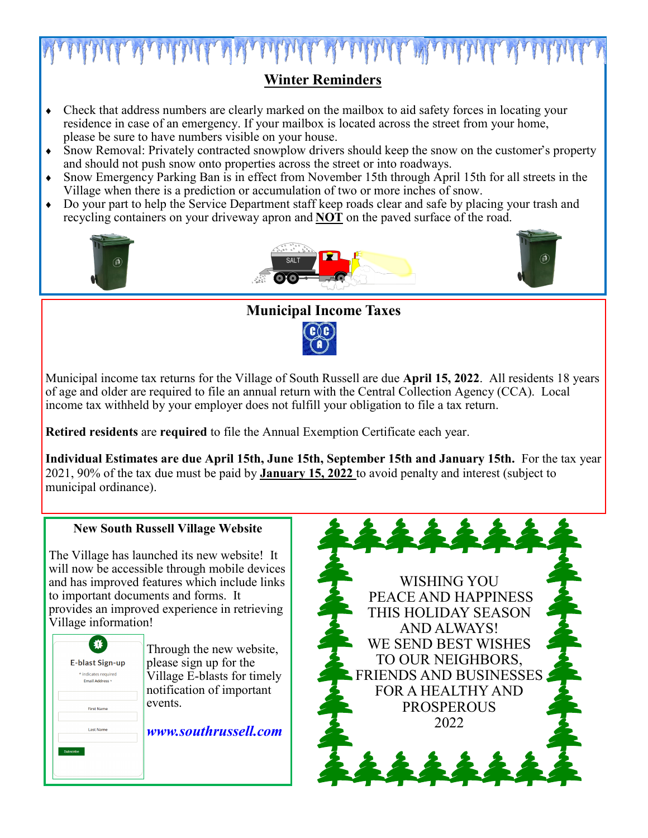

## **Winter Reminders**

- Check that address numbers are clearly marked on the mailbox to aid safety forces in locating your residence in case of an emergency. If your mailbox is located across the street from your home, please be sure to have numbers visible on your house.
- Snow Removal: Privately contracted snowplow drivers should keep the snow on the customer's property and should not push snow onto properties across the street or into roadways.
- Snow Emergency Parking Ban is in effect from November 15th through April 15th for all streets in the Village when there is a prediction or accumulation of two or more inches of snow.
- Do your part to help the Service Department staff keep roads clear and safe by placing your trash and recycling containers on your driveway apron and **NOT** on the paved surface of the road.



#### **Municipal Income Taxes**



Municipal income tax returns for the Village of South Russell are due **April 15, 2022**. All residents 18 years of age and older are required to file an annual return with the Central Collection Agency (CCA). Local income tax withheld by your employer does not fulfill your obligation to file a tax return.

**Retired residents** are **required** to file the Annual Exemption Certificate each year.

**Individual Estimates are due April 15th, June 15th, September 15th and January 15th.** For the tax year 2021, 90% of the tax due must be paid by **January 15, 2022** to avoid penalty and interest (subject to municipal ordinance).

#### **New South Russell Village Website** 22222 The Village has launched its new website! It will now be accessible through mobile devices and has improved features which include links WISHING YOU to important documents and forms. It PEACE AND HAPPINESS provides an improved experience in retrieving THIS HOLIDAY SEASON Village information! AND ALWAYS! WE SEND BEST WISHES 募 Through the new website, TO OUR NEIGHBORS, please sign up for the **E-blast Sign-up** Village E-blasts for timely FRIENDS AND BUSINESSES \* indicates required .<br>Email Address notification of important FOR A HEALTHY AND events. PROSPEROUS **First Name** 2022 *www.southrussell.com***Last Name**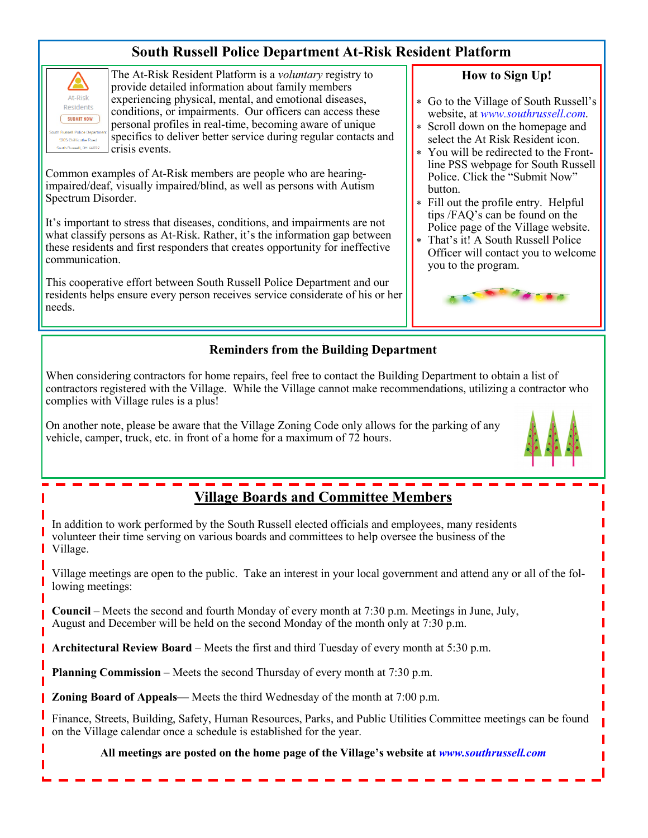### **South Russell Police Department At-Risk Resident Platform**



The At-Risk Resident Platform is a *voluntary* registry to provide detailed information about family members experiencing physical, mental, and emotional diseases, conditions, or impairments. Our officers can access these personal profiles in real-time, becoming aware of unique specifics to deliver better service during regular contacts and crisis events.

Common examples of At-Risk members are people who are hearingimpaired/deaf, visually impaired/blind, as well as persons with Autism Spectrum Disorder.

It's important to stress that diseases, conditions, and impairments are not what classify persons as At-Risk. Rather, it's the information gap between these residents and first responders that creates opportunity for ineffective communication.

This cooperative effort between South Russell Police Department and our residents helps ensure every person receives service considerate of his or her needs.

# **Reminders from the Building Department**

When considering contractors for home repairs, feel free to contact the Building Department to obtain a list of contractors registered with the Village. While the Village cannot make recommendations, utilizing a contractor who complies with Village rules is a plus!

On another note, please be aware that the Village Zoning Code only allows for the parking of any vehicle, camper, truck, etc. in front of a home for a maximum of 72 hours.



# **Village Boards and Committee Members**

In addition to work performed by the South Russell elected officials and employees, many residents volunteer their time serving on various boards and committees to help oversee the business of the Village.

Village meetings are open to the public. Take an interest in your local government and attend any or all of the following meetings:

**Council** – Meets the second and fourth Monday of every month at 7:30 p.m. Meetings in June, July, August and December will be held on the second Monday of the month only at 7:30 p.m.

**Architectural Review Board** – Meets the first and third Tuesday of every month at 5:30 p.m.

**Planning Commission** – Meets the second Thursday of every month at 7:30 p.m.

**Zoning Board of Appeals—** Meets the third Wednesday of the month at 7:00 p.m.

Finance, Streets, Building, Safety, Human Resources, Parks, and Public Utilities Committee meetings can be found on the Village calendar once a schedule is established for the year.

**All meetings are posted on the home page of the Village's website at** *www.southrussell.com*

#### **How to Sign Up!**

- Go to the Village of South Russell's website, at *www.southrussell.com*.
- Scroll down on the homepage and select the At Risk Resident icon.
- You will be redirected to the Frontline PSS webpage for South Russell Police. Click the "Submit Now" button.
- Fill out the profile entry. Helpful tips /FAQ's can be found on the Police page of the Village website.
- That's it! A South Russell Police Officer will contact you to welcome you to the program.